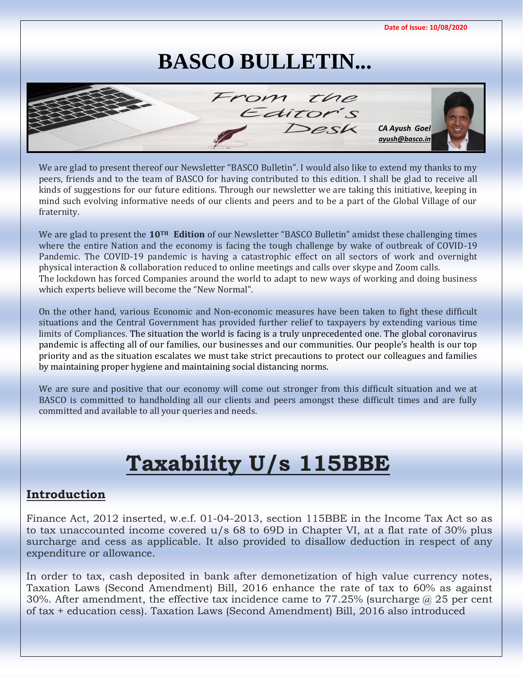

We are glad to present thereof our Newsletter "BASCO Bulletin". I would also like to extend my thanks to my peers, friends and to the team of BASCO for having contributed to this edition. I shall be glad to receive all kinds of suggestions for our future editions. Through our newsletter we are taking this initiativ[e, keeping in](mailto:ayush@basco.in)  mind such evolving informative needs of our clients and peers and to be a part of the Global Village of our fraternity.

We are glad to present the **10TH Edition** of our Newsletter "BASCO Bulletin" amidst these challenging times where the entire Nation and the economy is facing the tough challenge by wake of outbreak of COVID-19 Pandemic. The COVID-19 pandemic is having a catastrophic effect on all sectors of work and overnight physical interaction & collaboration reduced to online meetings and calls over skype and Zoom calls. The lockdown has forced Companies around the world to adapt to new ways of working and doing business which experts believe will become the "New Normal".

On the other hand, various Economic and Non-economic measures have been taken to fight these difficult situations and the Central Government has provided further relief to taxpayers by extending various time limits of Compliances. The situation the world is facing is a truly unprecedented one. The global coronavirus pandemic is affecting all of our families, our businesses and our communities. Our people's health is our top priority and as the situation escalates we must take strict precautions to protect our colleagues and families by maintaining proper hygiene and maintaining social distancing norms.

We are sure and positive that our economy will come out stronger from this difficult situation and we at BASCO is committed to handholding all our clients and peers amongst these difficult times and are fully committed and available to all your queries and needs.

# **Taxability U/s 115BBE**

### **Introduction**

Finance Act, 2012 inserted, w.e.f. 01-04-2013, section 115BBE in the Income Tax Act so as to tax unaccounted income covered u/s 68 to 69D in Chapter VI, at a flat rate of 30% plus surcharge and cess as applicable. It also provided to disallow deduction in respect of any expenditure or allowance.

In order to tax, cash deposited in bank after demonetization of high value currency notes, Taxation Laws (Second Amendment) Bill, 2016 enhance the rate of tax to 60% as against 30%. After amendment, the effective tax incidence came to 77.25% (surcharge @ 25 per cent of tax + education cess). Taxation Laws (Second Amendment) Bill, 2016 also introduced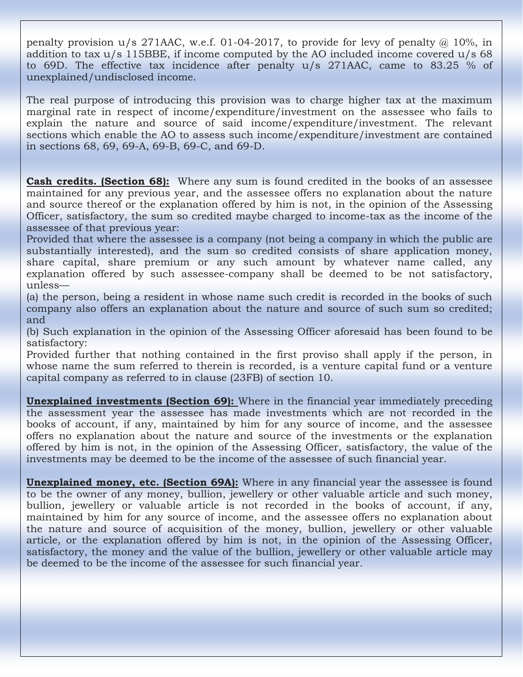penalty provision  $u/s$  271AAC, w.e.f. 01-04-2017, to provide for levy of penalty  $\omega$  10%, in addition to tax  $u/s$  115BBE, if income computed by the AO included income covered  $u/s$  68 to 69D. The effective tax incidence after penalty u/s 271AAC, came to 83.25 % of unexplained/undisclosed income.

The real purpose of introducing this provision was to charge higher tax at the maximum marginal rate in respect of income/expenditure/investment on the assessee who fails to explain the nature and source of said income/expenditure/investment. The relevant sections which enable the AO to assess such income/expenditure/investment are contained in sections 68, 69, 69-A, 69-B, 69-C, and 69-D.

**Cash credits. (Section 68):** Where any sum is found credited in the books of an assessee maintained for any previous year, and the assessee offers no explanation about the nature and source thereof or the explanation offered by him is not, in the opinion of the Assessing Officer, satisfactory, the sum so credited maybe charged to income-tax as the income of the assessee of that previous year:

Provided that where the assessee is a company (not being a company in which the public are substantially interested), and the sum so credited consists of share application money, share capital, share premium or any such amount by whatever name called, any explanation offered by such assessee-company shall be deemed to be not satisfactory, unless—

(a) the person, being a resident in whose name such credit is recorded in the books of such company also offers an explanation about the nature and source of such sum so credited; and

(b) Such explanation in the opinion of the Assessing Officer aforesaid has been found to be satisfactory:

Provided further that nothing contained in the first proviso shall apply if the person, in whose name the sum referred to therein is recorded, is a venture capital fund or a venture capital company as referred to in clause (23FB) of section 10.

**Unexplained investments (Section 69):** Where in the financial year immediately preceding the assessment year the assessee has made investments which are not recorded in the books of account, if any, maintained by him for any source of income, and the assessee offers no explanation about the nature and source of the investments or the explanation offered by him is not, in the opinion of the Assessing Officer, satisfactory, the value of the investments may be deemed to be the income of the assessee of such financial year.

**Unexplained money, etc. (Section 69A):** Where in any financial year the assessee is found to be the owner of any money, bullion, jewellery or other valuable article and such money, bullion, jewellery or valuable article is not recorded in the books of account, if any, maintained by him for any source of income, and the assessee offers no explanation about the nature and source of acquisition of the money, bullion, jewellery or other valuable article, or the explanation offered by him is not, in the opinion of the Assessing Officer, satisfactory, the money and the value of the bullion, jewellery or other valuable article may be deemed to be the income of the assessee for such financial year.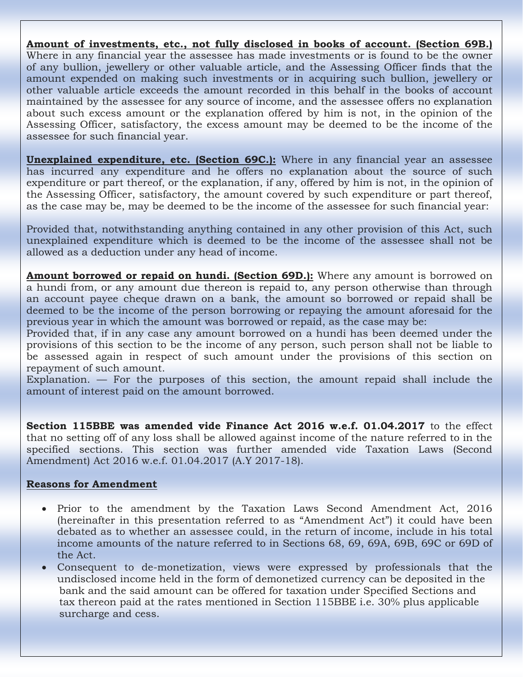**Amount of investments, etc., not fully disclosed in books of account. (Section 69B.)**

Where in any financial year the assessee has made investments or is found to be the owner of any bullion, jewellery or other valuable article, and the Assessing Officer finds that the amount expended on making such investments or in acquiring such bullion, jewellery or other valuable article exceeds the amount recorded in this behalf in the books of account maintained by the assessee for any source of income, and the assessee offers no explanation about such excess amount or the explanation offered by him is not, in the opinion of the Assessing Officer, satisfactory, the excess amount may be deemed to be the income of the assessee for such financial year.

**Unexplained expenditure, etc. (Section 69C.):** Where in any financial year an assessee has incurred any expenditure and he offers no explanation about the source of such expenditure or part thereof, or the explanation, if any, offered by him is not, in the opinion of the Assessing Officer, satisfactory, the amount covered by such expenditure or part thereof, as the case may be, may be deemed to be the income of the assessee for such financial year:

Provided that, notwithstanding anything contained in any other provision of this Act, such unexplained expenditure which is deemed to be the income of the assessee shall not be allowed as a deduction under any head of income.

**Amount borrowed or repaid on hundi. (Section 69D.):** Where any amount is borrowed on a hundi from, or any amount due thereon is repaid to, any person otherwise than through an account payee cheque drawn on a bank, the amount so borrowed or repaid shall be deemed to be the income of the person borrowing or repaying the amount aforesaid for the previous year in which the amount was borrowed or repaid, as the case may be:

Provided that, if in any case any amount borrowed on a hundi has been deemed under the provisions of this section to be the income of any person, such person shall not be liable to be assessed again in respect of such amount under the provisions of this section on repayment of such amount.

Explanation. — For the purposes of this section, the amount repaid shall include the amount of interest paid on the amount borrowed.

**Section 115BBE was amended vide Finance Act 2016 w.e.f. 01.04.2017** to the effect that no setting off of any loss shall be allowed against income of the nature referred to in the specified sections. This section was further amended vide Taxation Laws (Second Amendment) Act 2016 w.e.f. 01.04.2017 (A.Y 2017-18).

#### **Reasons for Amendment**

- Prior to the amendment by the Taxation Laws Second Amendment Act, 2016 (hereinafter in this presentation referred to as "Amendment Act") it could have been debated as to whether an assessee could, in the return of income, include in his total income amounts of the nature referred to in Sections 68, 69, 69A, 69B, 69C or 69D of the Act.
- Consequent to de-monetization, views were expressed by professionals that the undisclosed income held in the form of demonetized currency can be deposited in the bank and the said amount can be offered for taxation under Specified Sections and tax thereon paid at the rates mentioned in Section 115BBE i.e. 30% plus applicable surcharge and cess.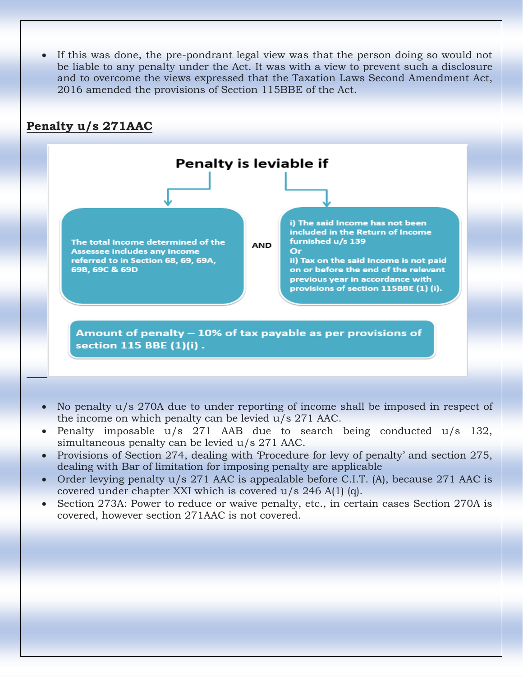• If this was done, the pre-pondrant legal view was that the person doing so would not be liable to any penalty under the Act. It was with a view to prevent such a disclosure and to overcome the views expressed that the Taxation Laws Second Amendment Act, 2016 amended the provisions of Section 115BBE of the Act.



- No penalty u/s 270A due to under reporting of income shall be imposed in respect of the income on which penalty can be levied u/s 271 AAC.
- Penalty imposable u/s 271 AAB due to search being conducted u/s 132, simultaneous penalty can be levied u/s 271 AAC.
- Provisions of Section 274, dealing with 'Procedure for levy of penalty' and section 275, dealing with Bar of limitation for imposing penalty are applicable
- Order levying penalty u/s 271 AAC is appealable before C.I.T. (A), because 271 AAC is covered under chapter XXI which is covered u/s 246 A(1) (q).
- Section 273A: Power to reduce or waive penalty, etc., in certain cases Section 270A is covered, however section 271AAC is not covered.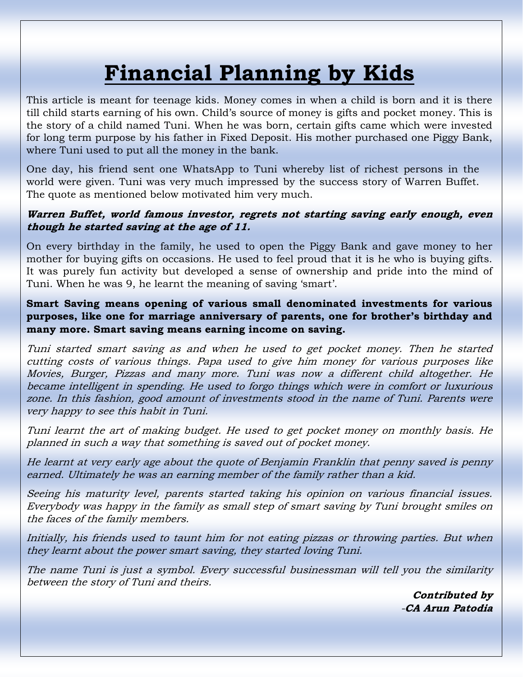# **Financial Planning by Kids**

This article is meant for teenage kids. Money comes in when a child is born and it is there till child starts earning of his own. Child's source of money is gifts and pocket money. This is the story of a child named Tuni. When he was born, certain gifts came which were invested for long term purpose by his father in Fixed Deposit. His mother purchased one Piggy Bank, where Tuni used to put all the money in the bank.

One day, his friend sent one WhatsApp to Tuni whereby list of richest persons in the world were given. Tuni was very much impressed by the success story of Warren Buffet. The quote as mentioned below motivated him very much.

### **Warren Buffet, world famous investor, regrets not starting saving early enough, even though he started saving at the age of 11.**

On every birthday in the family, he used to open the Piggy Bank and gave money to her mother for buying gifts on occasions. He used to feel proud that it is he who is buying gifts. It was purely fun activity but developed a sense of ownership and pride into the mind of Tuni. When he was 9, he learnt the meaning of saving 'smart'.

### **Smart Saving means opening of various small denominated investments for various purposes, like one for marriage anniversary of parents, one for brother's birthday and many more. Smart saving means earning income on saving.**

Tuni started smart saving as and when he used to get pocket money. Then he started cutting costs of various things. Papa used to give him money for various purposes like Movies, Burger, Pizzas and many more. Tuni was now a different child altogether. He became intelligent in spending. He used to forgo things which were in comfort or luxurious zone. In this fashion, good amount of investments stood in the name of Tuni. Parents were very happy to see this habit in Tuni.

Tuni learnt the art of making budget. He used to get pocket money on monthly basis. He planned in such a way that something is saved out of pocket money.

He learnt at very early age about the quote of Benjamin Franklin that penny saved is penny earned. Ultimately he was an earning member of the family rather than a kid.

Seeing his maturity level, parents started taking his opinion on various financial issues. Everybody was happy in the family as small step of smart saving by Tuni brought smiles on the faces of the family members.

Initially, his friends used to taunt him for not eating pizzas or throwing parties. But when they learnt about the power smart saving, they started loving Tuni.

The name Tuni is just a symbol. Every successful businessman will tell you the similarity between the story of Tuni and theirs.

> **Contributed by** -**CA Arun Patodia**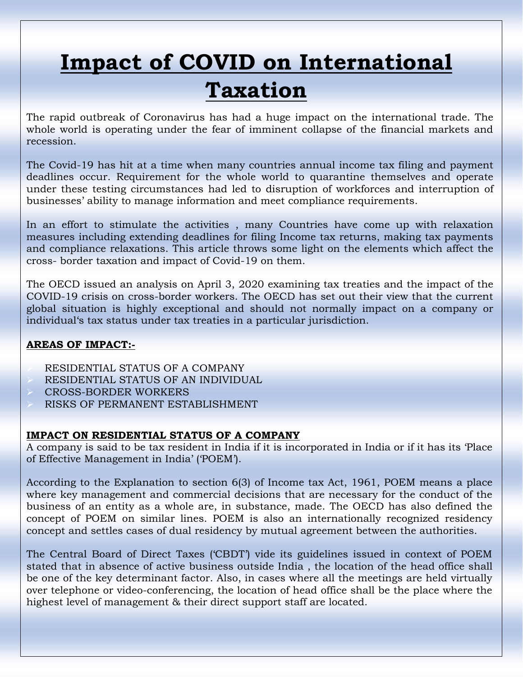# **Impact of COVID on International Taxation**

The rapid outbreak of Coronavirus has had a huge impact on the international trade. The whole world is operating under the fear of imminent collapse of the financial markets and recession.

The Covid-19 has hit at a time when many countries annual income tax filing and payment deadlines occur. Requirement for the whole world to quarantine themselves and operate under these testing circumstances had led to disruption of workforces and interruption of businesses' ability to manage information and meet compliance requirements.

In an effort to stimulate the activities , many Countries have come up with relaxation measures including extending deadlines for filing Income tax returns, making tax payments and compliance relaxations. This article throws some light on the elements which affect the cross- border taxation and impact of Covid-19 on them.

The OECD issued an analysis on April 3, 2020 examining tax treaties and the impact of the COVID-19 crisis on cross-border workers. The OECD has set out their view that the current global situation is highly exceptional and should not normally impact on a company or individual's tax status under tax treaties in a particular jurisdiction.

#### **AREAS OF IMPACT:-**

➢ RESIDENTIAL STATUS OF A COMPANY ➢ RESIDENTIAL STATUS OF AN INDIVIDUAL ➢ CROSS-BORDER WORKERS ➢ RISKS OF PERMANENT ESTABLISHMENT

#### **IMPACT ON RESIDENTIAL STATUS OF A COMPANY**

A company is said to be tax resident in India if it is incorporated in India or if it has its 'Place of Effective Management in India' ('POEM').

According to the Explanation to section 6(3) of Income tax Act, 1961, POEM means a place where key management and commercial decisions that are necessary for the conduct of the business of an entity as a whole are, in substance, made. The OECD has also defined the concept of POEM on similar lines. POEM is also an internationally recognized residency concept and settles cases of dual residency by mutual agreement between the authorities.

The Central Board of Direct Taxes ('CBDT') vide its guidelines issued in context of POEM stated that in absence of active business outside India , the location of the head office shall be one of the key determinant factor. Also, in cases where all the meetings are held virtually over telephone or video-conferencing, the location of head office shall be the place where the highest level of management & their direct support staff are located.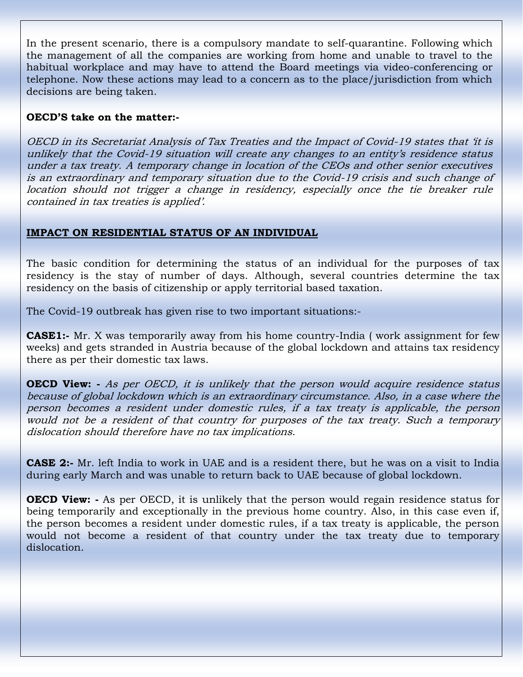In the present scenario, there is a compulsory mandate to self-quarantine. Following which the management of all the companies are working from home and unable to travel to the habitual workplace and may have to attend the Board meetings via video-conferencing or telephone. Now these actions may lead to a concern as to the place/jurisdiction from which decisions are being taken.

#### **OECD'S take on the matter:-**

OECD in its Secretariat Analysis of Tax Treaties and the Impact of Covid-19 states that 'it is unlikely that the Covid-19 situation will create any changes to an entity's residence status under a tax treaty. A temporary change in location of the CEOs and other senior executives is an extraordinary and temporary situation due to the Covid-19 crisis and such change of location should not trigger a change in residency, especially once the tie breaker rule contained in tax treaties is applied'.

#### **IMPACT ON RESIDENTIAL STATUS OF AN INDIVIDUAL**

The basic condition for determining the status of an individual for the purposes of tax residency is the stay of number of days. Although, several countries determine the tax residency on the basis of citizenship or apply territorial based taxation.

The Covid-19 outbreak has given rise to two important situations:-

**CASE1:-** Mr. X was temporarily away from his home country-India (work assignment for few weeks) and gets stranded in Austria because of the global lockdown and attains tax residency there as per their domestic tax laws.

**OECD View:** - As per OECD, it is unlikely that the person would acquire residence status because of global lockdown which is an extraordinary circumstance. Also, in a case where the person becomes a resident under domestic rules, if a tax treaty is applicable, the person would not be a resident of that country for purposes of the tax treaty. Such a temporary dislocation should therefore have no tax implications.

**CASE 2:-** Mr. left India to work in UAE and is a resident there, but he was on a visit to India during early March and was unable to return back to UAE because of global lockdown.

**OECD View:** - As per OECD, it is unlikely that the person would regain residence status for being temporarily and exceptionally in the previous home country. Also, in this case even if, the person becomes a resident under domestic rules, if a tax treaty is applicable, the person would not become a resident of that country under the tax treaty due to temporary dislocation.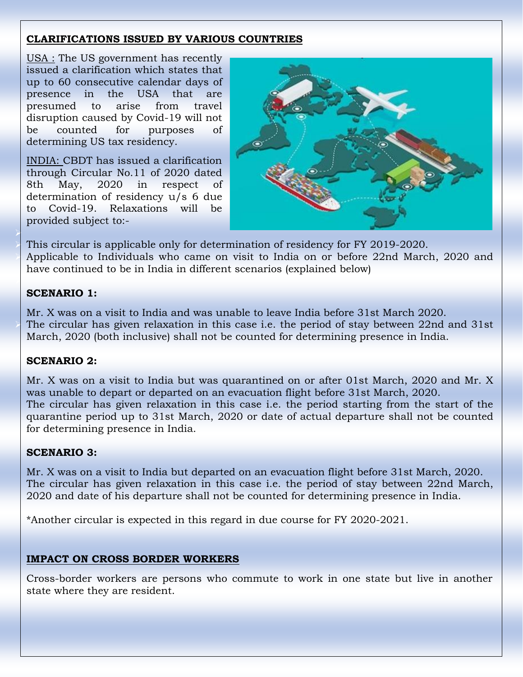### **CLARIFICATIONS ISSUED BY VARIOUS COUNTRIES**

USA : The US government has recently issued a clarification which states that up to 60 consecutive calendar days of presence in the USA that are presumed to arise from travel disruption caused by Covid-19 will not be counted for purposes of determining US tax residency.

INDIA: CBDT has issued a clarification through Circular No.11 of 2020 dated 8th May, 2020 in respect of determination of residency u/s 6 due to Covid-19. Relaxations will be provided subject to:-



➢ This circular is applicable only for determination of residency for FY 2019-2020. Applicable to Individuals who came on visit to India on or before 22nd March, 2020 and have continued to be in India in different scenarios (explained below)

### **SCENARIO 1:**

➢

➢

Mr. X was on a visit to India and was unable to leave India before 31st March 2020. The circular has given relaxation in this case i.e. the period of stay between 22nd and 31st March, 2020 (both inclusive) shall not be counted for determining presence in India.

### **SCENARIO 2:**

Mr. X was on a visit to India but was quarantined on or after 01st March, 2020 and Mr. X was unable to depart or departed on an evacuation flight before 31st March, 2020. The circular has given relaxation in this case i.e. the period starting from the start of the quarantine period up to 31st March, 2020 or date of actual departure shall not be counted for determining presence in India.

### **SCENARIO 3:**

Mr. X was on a visit to India but departed on an evacuation flight before 31st March, 2020. The circular has given relaxation in this case i.e. the period of stay between 22nd March, 2020 and date of his departure shall not be counted for determining presence in India.

\*Another circular is expected in this regard in due course for FY 2020-2021.

### **IMPACT ON CROSS BORDER WORKERS**

Cross-border workers are persons who commute to work in one state but live in another state where they are resident.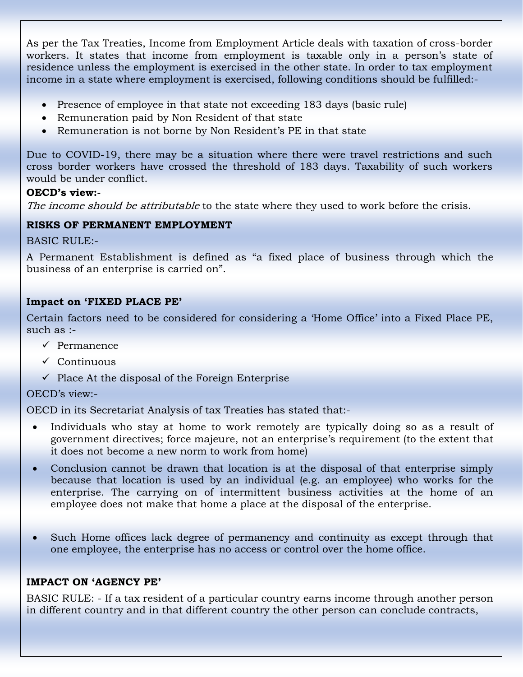As per the Tax Treaties, Income from Employment Article deals with taxation of cross-border workers. It states that income from employment is taxable only in a person's state of residence unless the employment is exercised in the other state. In order to tax employment income in a state where employment is exercised, following conditions should be fulfilled:-

- Presence of employee in that state not exceeding 183 days (basic rule)
- Remuneration paid by Non Resident of that state
- Remuneration is not borne by Non Resident's PE in that state

Due to COVID-19, there may be a situation where there were travel restrictions and such cross border workers have crossed the threshold of 183 days. Taxability of such workers would be under conflict.

#### **OECD's view:-**

The income should be attributable to the state where they used to work before the crisis.

### **RISKS OF PERMANENT EMPLOYMENT**

BASIC RULE:-

A Permanent Establishment is defined as "a fixed place of business through which the business of an enterprise is carried on".

#### **Impact on 'FIXED PLACE PE'**

Certain factors need to be considered for considering a 'Home Office' into a Fixed Place PE, such as :-

- ✓ Permanence
- ✓ Continuous
- $\checkmark$  Place At the disposal of the Foreign Enterprise

#### OECD's view:-

OECD in its Secretariat Analysis of tax Treaties has stated that:-

- Individuals who stay at home to work remotely are typically doing so as a result of government directives; force majeure, not an enterprise's requirement (to the extent that it does not become a new norm to work from home)
- Conclusion cannot be drawn that location is at the disposal of that enterprise simply because that location is used by an individual (e.g. an employee) who works for the enterprise. The carrying on of intermittent business activities at the home of an employee does not make that home a place at the disposal of the enterprise.
- Such Home offices lack degree of permanency and continuity as except through that one employee, the enterprise has no access or control over the home office.

#### **IMPACT ON 'AGENCY PE'**

BASIC RULE: - If a tax resident of a particular country earns income through another person in different country and in that different country the other person can conclude contracts,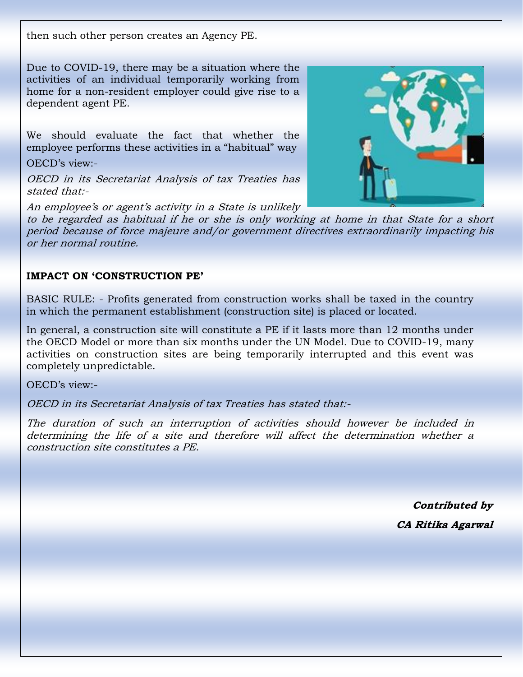then such other person creates an Agency PE.

Due to COVID-19, there may be a situation where the activities of an individual temporarily working from home for a non-resident employer could give rise to a dependent agent PE.

We should evaluate the fact that whether the employee performs these activities in a "habitual" way

OECD's view:-

OECD in its Secretariat Analysis of tax Treaties has stated that:-

An employee's or agent's activity in a State is unlikely

to be regarded as habitual if he or she is only working at home in that State for a short period because of force majeure and/or government directives extraordinarily impacting his or her normal routine.

### **IMPACT ON 'CONSTRUCTION PE'**

BASIC RULE: - Profits generated from construction works shall be taxed in the country in which the permanent establishment (construction site) is placed or located.

In general, a construction site will constitute a PE if it lasts more than 12 months under the OECD Model or more than six months under the UN Model. Due to COVID-19, many activities on construction sites are being temporarily interrupted and this event was completely unpredictable.

OECD's view:-

OECD in its Secretariat Analysis of tax Treaties has stated that:-

The duration of such an interruption of activities should however be included in determining the life of a site and therefore will affect the determination whether a construction site constitutes a PE.

> **Contributed by CA Ritika Agarwal**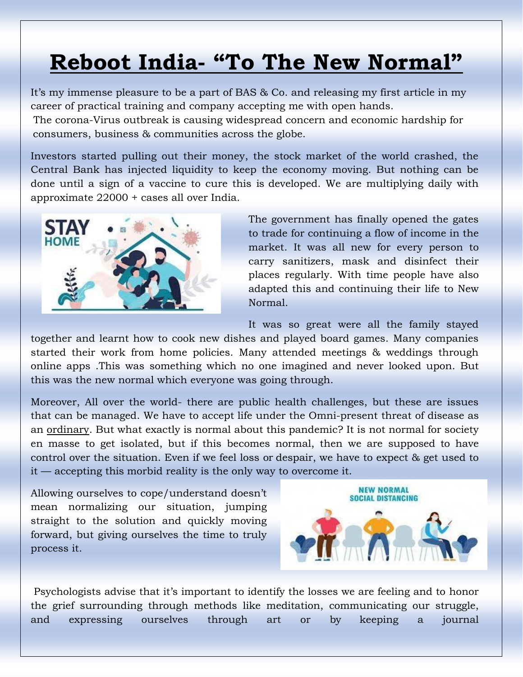## **Reboot India- "To The New Normal"**

It's my immense pleasure to be a part of BAS & Co. and releasing my first article in my career of practical training and company accepting me with open hands.

The corona-Virus outbreak is causing widespread concern and economic hardship for consumers, business & communities across the globe.

Investors started pulling out their money, the stock market of the world crashed, the Central Bank has injected liquidity to keep the economy moving. But nothing can be done until a sign of a vaccine to cure this is developed. We are multiplying daily with approximate 22000 + cases all over India.



The government has finally opened the gates to trade for continuing a flow of income in the market. It was all new for every person to carry sanitizers, mask and disinfect their places regularly. With time people have also adapted this and continuing their life to New Normal.

It was so great were all the family stayed

together and learnt how to cook new dishes and played board games. Many companies started their work from home policies. Many attended meetings & weddings through online apps .This was something which no one imagined and never looked upon. But this was the new normal which everyone was going through.

Moreover, All over the world- there are public health challenges, but these are issues that can be managed. We have to accept life under the Omni-present threat of disease as an ordinary. But what exactly is normal about this pandemic? It is [not normal for society](https://www.sciencealert.com/one-third-of-the-world-s-population-are-now-restricted-in-where-they-can-go)  [en masse](https://www.sciencealert.com/one-third-of-the-world-s-population-are-now-restricted-in-where-they-can-go) to get isolated, but if this becomes normal, then we are supposed to have control over the situation. Even if we feel loss or despair, we have to expect & get used to it — accepting this morbid reality is the only way to overcome it.

Allowing ourselves to cope/understand doesn't mean normalizing our situation, jumping straight to the solution and quickly moving forward, but giving ourselves the time to truly process it.



[Psychologists advise](https://www.npr.org/sections/health-shots/2020/03/26/820304899/coronavirus-has-upended-our-world-its-ok-to-grieve) that it's important to identify the losses we are feeling and to honor the grief surrounding through methods like meditation, communicating our struggle, and expressing ourselves through art or by keeping a journal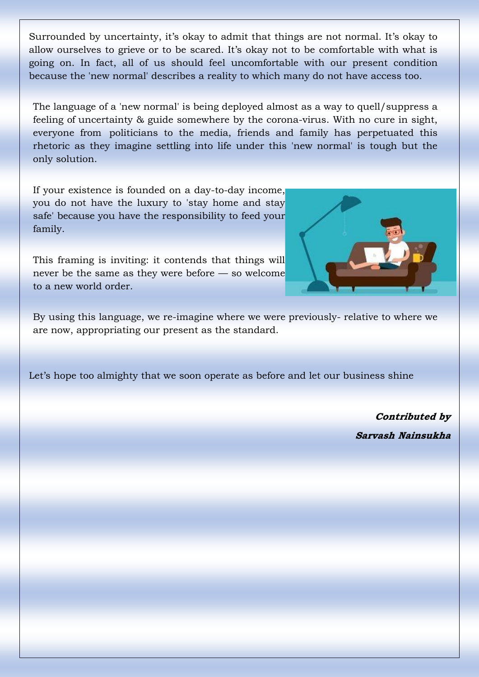Surrounded by uncertainty, it's okay to admit that things are not normal. It's okay to allow ourselves to grieve or to [be scared.](https://www.sbs.com.au/news/it-s-okay-to-be-scared-norway-pm-holds-children-only-covid-19-press-conference) It's okay not to be comfortable with what is going on. In fact, all of us should feel uncomfortable with our present condition because the 'new normal' describes a reality to which many do not have access too.

The language of a 'new normal' is being deployed almost as a way to quell/suppress a feeling of uncertainty & guide somewhere by the corona-virus. With no cure in sight, everyone from [politicians t](https://www.cbc.ca/player/play/1722270787918)o the media, friends and family has perpetuated this rhetoric as they imagine settling into life under this 'new normal' is tough but the only solution.

If your existence is founded on a day-to-day income, you do not have the luxury to 'stay home and stay safe' because you have the responsibility to feed your family.

This framing is inviting: it contends that things will never be the same as they were before — so welcome to a new world order.



By using this language, we re-imagine where we were previously- relative to where we are now, appropriating our present as the standard.

Let's hope too almighty that we soon operate as before and let our business shine

**Contributed by Sarvash Nainsukha**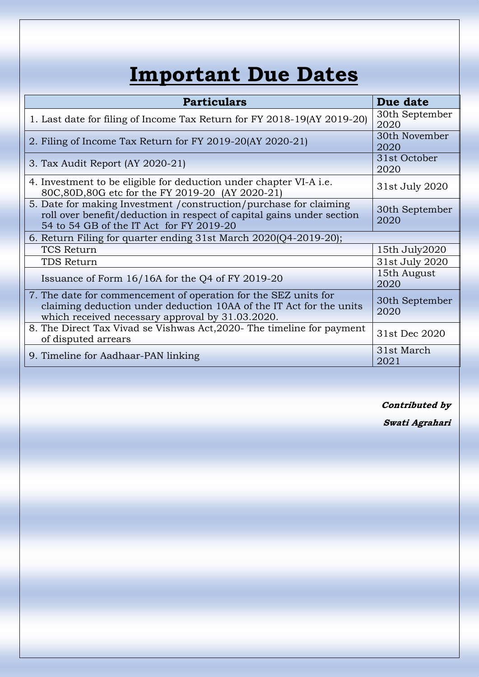# **Important Due Dates**

| <b>Particulars</b>                                                                                                                                                                         | Due date               |
|--------------------------------------------------------------------------------------------------------------------------------------------------------------------------------------------|------------------------|
| 1. Last date for filing of Income Tax Return for FY 2018-19(AY 2019-20)                                                                                                                    | 30th September<br>2020 |
| 2. Filing of Income Tax Return for FY 2019-20(AY 2020-21)                                                                                                                                  | 30th November<br>2020  |
| 3. Tax Audit Report (AY 2020-21)                                                                                                                                                           | 31st October<br>2020   |
| 4. Investment to be eligible for deduction under chapter VI-A <i>i.e.</i><br>80C,80D,80G etc for the FY 2019-20 (AY 2020-21)                                                               | 31st July 2020         |
| 5. Date for making Investment / construction/purchase for claiming<br>roll over benefit/deduction in respect of capital gains under section<br>54 to 54 GB of the IT Act for FY 2019-20    | 30th September<br>2020 |
| 6. Return Filing for quarter ending 31st March 2020(Q4-2019-20);                                                                                                                           |                        |
| <b>TCS Return</b>                                                                                                                                                                          | 15th July2020          |
| TDS Return                                                                                                                                                                                 | 31st July 2020         |
| Issuance of Form 16/16A for the Q4 of FY 2019-20                                                                                                                                           | 15th August<br>2020    |
| 7. The date for commencement of operation for the SEZ units for<br>claiming deduction under deduction 10AA of the IT Act for the units<br>which received necessary approval by 31.03.2020. | 30th September<br>2020 |
| 8. The Direct Tax Vivad se Vishwas Act, 2020 - The timeline for payment<br>of disputed arrears                                                                                             | 31st Dec 2020          |
| 9. Timeline for Aadhaar-PAN linking                                                                                                                                                        | 31st March<br>2021     |

**Contributed by**

**Swati Agrahari**